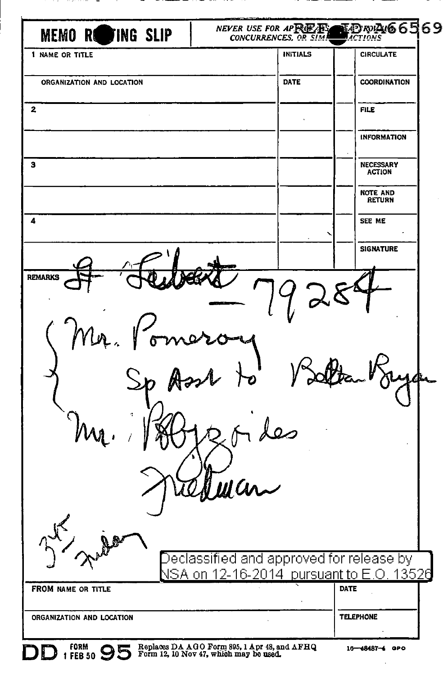| <b>MEMO ROTING SLIP</b>   | NEVER USE FOR APRILLE<br><b>CONCURRENCES, OR SIM</b>                                                           | ¶ <i>Dr</i> y <b>A</b> 6569<br>■ਸਟਸਕੇਲ |
|---------------------------|----------------------------------------------------------------------------------------------------------------|----------------------------------------|
| 1 NAME OR TITLE           | <b>INITIALS</b>                                                                                                | <b>CIRCULATE</b>                       |
| ORGANIZATION AND LOCATION | DATE                                                                                                           | COORDINATION                           |
| $\mathbf{2}$              |                                                                                                                | <b>FILE</b>                            |
|                           |                                                                                                                | <b>INFORMATION</b>                     |
| з                         |                                                                                                                | <b>NECESSARY</b><br><b>ACTION</b>      |
|                           |                                                                                                                | <b>NOTE AND</b><br><b>RETURN</b>       |
| 4                         |                                                                                                                | SEE ME                                 |
|                           |                                                                                                                | <b>SIGNATURE</b>                       |
|                           | ul Cu                                                                                                          |                                        |
|                           | $\operatorname{\mathsf{De}}$ classified and approved for release by<br><u>NSA on 12-16-2014 pursuant to E.</u> | .O. 13526<br>DATE                      |
| FROM NAME OR TITLE        | ٠                                                                                                              |                                        |
|                           |                                                                                                                | <b>TELEPHONE</b>                       |